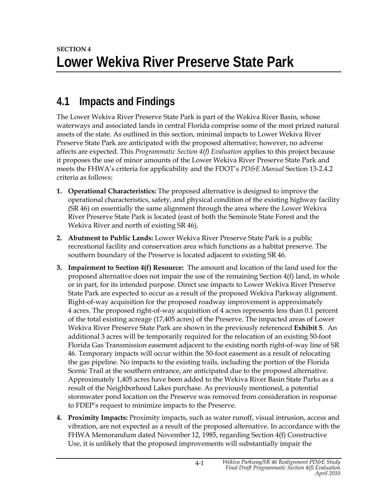## **4.1 Impacts and Findings**

The Lower Wekiva River Preserve State Park is part of the Wekiva River Basin, whose waterways and associated lands in central Florida comprise some of the most prized natural assets of the state. As outlined in this section, minimal impacts to Lower Wekiva River Preserve State Park are anticipated with the proposed alternative; however, no adverse affects are expected. This *Programmatic Section 4(f) Evaluation* applies to this project because it proposes the use of minor amounts of the Lower Wekiva River Preserve State Park and meets the FHWA's criteria for applicability and the FDOT's *PD&E Manual* Section 13-2.4.2 criteria as follows:

- **1. Operational Characteristics:** The proposed alternative is designed to improve the operational characteristics, safety, and physical condition of the existing highway facility (SR 46) on essentially the same alignment through the area where the Lower Wekiva River Preserve State Park is located (east of both the Seminole State Forest and the Wekiva River and north of existing SR 46).
- **2. Abutment to Public Lands:** Lower Wekiva River Preserve State Park is a public recreational facility and conservation area which functions as a habitat preserve. The southern boundary of the Preserve is located adjacent to existing SR 46.
- **3. Impairment to Section 4(f) Resource:** The amount and location of the land used for the proposed alternative does not impair the use of the remaining Section 4(f) land, in whole or in part, for its intended purpose. Direct use impacts to Lower Wekiva River Preserve State Park are expected to occur as a result of the proposed Wekiva Parkway alignment. Right-of-way acquisition for the proposed roadway improvement is approximately 4 acres. The proposed right-of-way acquisition of 4 acres represents less than 0.1 percent of the total existing acreage (17,405 acres) of the Preserve. The impacted areas of Lower Wekiva River Preserve State Park are shown in the previously referenced **Exhibit 5**. An additional 3 acres will be temporarily required for the relocation of an existing 50-foot Florida Gas Transmission easement adjacent to the existing north right-of-way line of SR 46. Temporary impacts will occur within the 50-foot easement as a result of relocating the gas pipeline. No impacts to the existing trails, including the portion of the Florida Scenic Trail at the southern entrance, are anticipated due to the proposed alternative. Approximately 1,405 acres have been added to the Wekiva River Basin State Parks as a result of the Neighborhood Lakes purchase. As previously mentioned, a potential stormwater pond location on the Preserve was removed from consideration in response to FDEP's request to minimize impacts to the Preserve.
- **4. Proximity Impacts:** Proximity impacts, such as water runoff, visual intrusion, access and vibration, are not expected as a result of the proposed alternative. In accordance with the FHWA Memorandum dated November 12, 1985, regarding Section 4(f) Constructive Use, it is unlikely that the proposed improvements will substantially impair the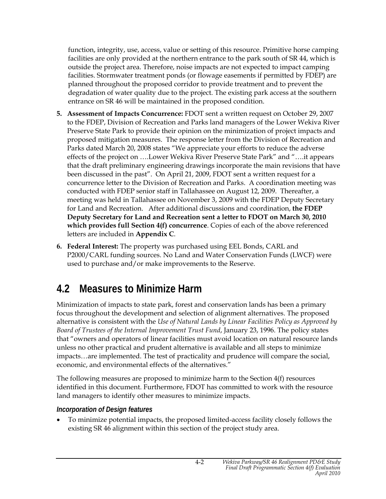function, integrity, use, access, value or setting of this resource. Primitive horse camping facilities are only provided at the northern entrance to the park south of SR 44, which is outside the project area. Therefore, noise impacts are not expected to impact camping facilities. Stormwater treatment ponds (or flowage easements if permitted by FDEP) are planned throughout the proposed corridor to provide treatment and to prevent the degradation of water quality due to the project. The existing park access at the southern entrance on SR 46 will be maintained in the proposed condition.

- **5. Assessment of Impacts Concurrence:** FDOT sent a written request on October 29, 2007 to the FDEP, Division of Recreation and Parks land managers of the Lower Wekiva River Preserve State Park to provide their opinion on the minimization of project impacts and proposed mitigation measures. The response letter from the Division of Recreation and Parks dated March 20, 2008 states "We appreciate your efforts to reduce the adverse effects of the project on ….Lower Wekiva River Preserve State Park" and "….it appears that the draft preliminary engineering drawings incorporate the main revisions that have been discussed in the past". On April 21, 2009, FDOT sent a written request for a concurrence letter to the Division of Recreation and Parks. A coordination meeting was conducted with FDEP senior staff in Tallahassee on August 12, 2009. Thereafter, a meeting was held in Tallahassee on November 3, 2009 with the FDEP Deputy Secretary for Land and Recreation. After additional discussions and coordination, **the FDEP Deputy Secretary for Land and Recreation sent a letter to FDOT on March 30, 2010 which provides full Section 4(f) concurrence**. Copies of each of the above referenced letters are included in **Appendix C**.
- **6. Federal Interest:** The property was purchased using EEL Bonds, CARL and P2000/CARL funding sources. No Land and Water Conservation Funds (LWCF) were used to purchase and/or make improvements to the Reserve.

## **4.2 Measures to Minimize Harm**

Minimization of impacts to state park, forest and conservation lands has been a primary focus throughout the development and selection of alignment alternatives. The proposed alternative is consistent with the *Use of Natural Lands by Linear Facilities Policy as Approved by Board of Trustees of the Internal Improvement Trust Fund*, January 23, 1996. The policy states that "owners and operators of linear facilities must avoid location on natural resource lands unless no other practical and prudent alternative is available and all steps to minimize impacts…are implemented. The test of practicality and prudence will compare the social, economic, and environmental effects of the alternatives."

The following measures are proposed to minimize harm to the Section 4(f) resources identified in this document. Furthermore, FDOT has committed to work with the resource land managers to identify other measures to minimize impacts.

## *Incorporation of Design features*

• To minimize potential impacts, the proposed limited-access facility closely follows the existing SR 46 alignment within this section of the project study area.